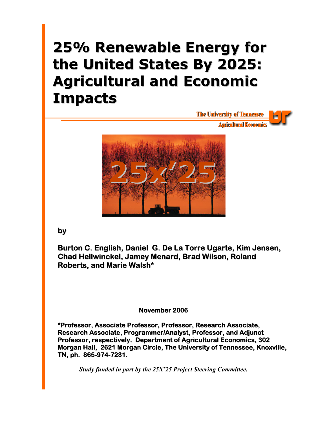# **25% Renewable Energy for the United States By 2025: Agricultural and Economic Impacts**



**by**

**Burton C. English, Daniel G. De La Torre Ugarte, Kim Jensen, Chad Hellwinckel, Jamey Menard, Brad Wilson, Roland Roberts, and Marie Walsh\***

## **November 2006**

**\*Professor, Associate Professor, Professor, Research Associate, Research Associate, Programmer/Analyst, Professor, and Adjunct Professor, respectively. Department of Agricultural Economics, 302 Morgan Hall, 2621 Morgan Circle, The University of Tennessee, Knoxville, TN, ph. 865-974-7231.**

*Study funded in part by the 25X'25 Project Steering Committee.*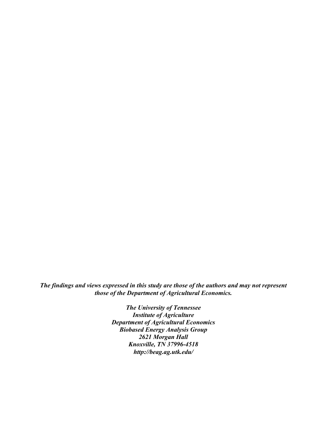*The findings and views expressed in this study are those of the authors and may not represent those of the Department of Agricultural Economics.* 

> *The University of Tennessee Institute of Agriculture Department of Agricultural Economics Biobased Energy Analysis Group 2621 Morgan Hall Knoxville, TN 37996-4518 http://beag.ag.utk.edu/*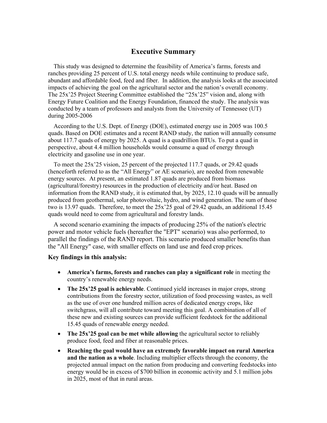## **Executive Summary**

This study was designed to determine the feasibility of America's farms, forests and ranches providing 25 percent of U.S. total energy needs while continuing to produce safe, abundant and affordable food, feed and fiber. In addition, the analysis looks at the associated impacts of achieving the goal on the agricultural sector and the nation's overall economy. The 25x'25 Project Steering Committee established the "25x'25" vision and, along with Energy Future Coalition and the Energy Foundation, financed the study. The analysis was conducted by a team of professors and analysts from the University of Tennessee (UT) during 2005-2006

According to the U.S. Dept. of Energy (DOE), estimated energy use in 2005 was 100.5 quads. Based on DOE estimates and a recent RAND study, the nation will annually consume about 117.7 quads of energy by 2025. A quad is a quadrillion BTUs. To put a quad in perspective, about 4.4 million households would consume a quad of energy through electricity and gasoline use in one year.

To meet the 25x'25 vision, 25 percent of the projected 117.7 quads, or 29.42 quads (henceforth referred to as the "All Energy" or AE scenario), are needed from renewable energy sources. At present, an estimated 1.87 quads are produced from biomass (agricultural/forestry) resources in the production of electricity and/or heat. Based on information from the RAND study, it is estimated that, by 2025, 12.10 quads will be annually produced from geothermal, solar photovoltaic, hydro, and wind generation. The sum of those two is 13.97 quads. Therefore, to meet the 25x'25 goal of 29.42 quads, an additional 15.45 quads would need to come from agricultural and forestry lands.

A second scenario examining the impacts of producing 25% of the nation's electric power and motor vehicle fuels (hereafter the "EPT" scenario) was also performed, to parallel the findings of the RAND report. This scenario produced smaller benefits than the "All Energy" case, with smaller effects on land use and feed crop prices.

### **Key findings in this analysis:**

- **America's farms, forests and ranches can play a significant role** in meeting the country's renewable energy needs.
- **The 25x'25 goal is achievable**. Continued yield increases in major crops, strong contributions from the forestry sector, utilization of food processing wastes, as well as the use of over one hundred million acres of dedicated energy crops, like switchgrass, will all contribute toward meeting this goal. A combination of all of these new and existing sources can provide sufficient feedstock for the additional 15.45 quads of renewable energy needed.
- **The 25x'25 goal can be met while allowing** the agricultural sector to reliably produce food, feed and fiber at reasonable prices.
- **Reaching the goal would have an extremely favorable impact on rural America and the nation as a whole**. Including multiplier effects through the economy, the projected annual impact on the nation from producing and converting feedstocks into energy would be in excess of \$700 billion in economic activity and 5.1 million jobs in 2025, most of that in rural areas.